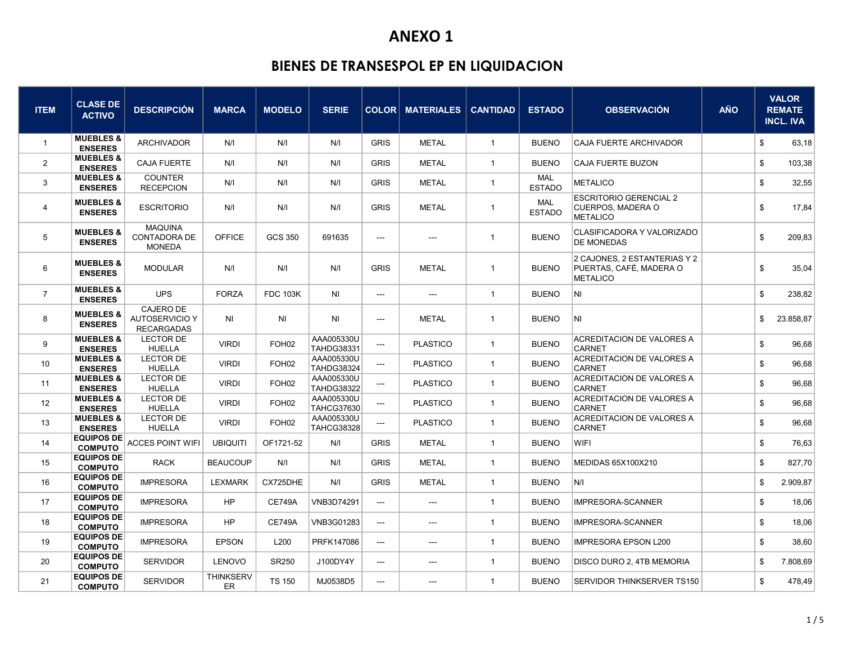| <b>ITEM</b>    | <b>CLASE DE</b><br><b>ACTIVO</b>       | <b>DESCRIPCIÓN</b>                                      | <b>MARCA</b>                  | <b>MODELO</b>     | <b>SERIE</b>                    |                          | <b>COLOR MATERIALES</b> | <b>CANTIDAD</b> | <b>ESTADO</b>               | <b>OBSERVACIÓN</b>                                                         | <b>AÑO</b> | <b>VALOR</b><br><b>REMATE</b><br><b>INCL. IVA</b> |
|----------------|----------------------------------------|---------------------------------------------------------|-------------------------------|-------------------|---------------------------------|--------------------------|-------------------------|-----------------|-----------------------------|----------------------------------------------------------------------------|------------|---------------------------------------------------|
| $\overline{1}$ | <b>MUEBLES &amp;</b><br><b>ENSERES</b> | <b>ARCHIVADOR</b>                                       | N/I                           | N/I               | N/I                             | <b>GRIS</b>              | <b>METAL</b>            | $\overline{1}$  | <b>BUENO</b>                | <b>CAJA FUERTE ARCHIVADOR</b>                                              |            | \$<br>63,18                                       |
| $\overline{2}$ | <b>MUEBLES &amp;</b><br><b>ENSERES</b> | <b>CAJA FUERTE</b>                                      | N/I                           | N/I               | N/I                             | <b>GRIS</b>              | <b>METAL</b>            | $\overline{1}$  | <b>BUENO</b>                | <b>CAJA FUERTE BUZON</b>                                                   |            | \$<br>103,38                                      |
| 3              | <b>MUEBLES &amp;</b><br><b>ENSERES</b> | <b>COUNTER</b><br><b>RECEPCION</b>                      | N/I                           | N/I               | N/I                             | <b>GRIS</b>              | <b>METAL</b>            | $\overline{1}$  | <b>MAL</b><br><b>ESTADO</b> | <b>METALICO</b>                                                            |            | \$<br>32,55                                       |
| 4              | <b>MUEBLES &amp;</b><br><b>ENSERES</b> | <b>ESCRITORIO</b>                                       | N/I                           | N/I               | N/I                             | <b>GRIS</b>              | METAL                   | $\overline{1}$  | <b>MAL</b><br><b>ESTADO</b> | <b>ESCRITORIO GERENCIAL 2</b><br>CUERPOS, MADERA O<br><b>METALICO</b>      |            | \$<br>17,84                                       |
| 5              | <b>MUEBLES &amp;</b><br><b>ENSERES</b> | MAQUINA<br><b>CONTADORA DE</b><br><b>MONEDA</b>         | <b>OFFICE</b>                 | <b>GCS 350</b>    | 691635                          | ---                      | $---$                   | $\mathbf{1}$    | <b>BUENO</b>                | CLASIFICADORA Y VALORIZADO<br>DE MONEDAS                                   |            | \$<br>209,83                                      |
| 6              | <b>MUEBLES &amp;</b><br><b>ENSERES</b> | <b>MODULAR</b>                                          | N/I                           | N/I               | N/I                             | <b>GRIS</b>              | <b>METAL</b>            | $\mathbf{1}$    | <b>BUENO</b>                | 2 CAJONES, 2 ESTANTERIAS Y 2<br>PUERTAS, CAFÉ, MADERA O<br><b>METALICO</b> |            | \$<br>35,04                                       |
| $\overline{7}$ | <b>MUEBLES &amp;</b><br><b>ENSERES</b> | <b>UPS</b>                                              | <b>FORZA</b>                  | <b>FDC 103K</b>   | ΝI                              | ---                      | ---                     | $\mathbf{1}$    | <b>BUENO</b>                | INI.                                                                       |            | \$<br>238,82                                      |
| 8              | <b>MUEBLES &amp;</b><br><b>ENSERES</b> | <b>CAJERO DE</b><br>AUTOSERVICIO Y<br><b>RECARGADAS</b> | <b>NI</b>                     | ΝI                | NI                              | $\overline{\phantom{a}}$ | <b>METAL</b>            | $\mathbf{1}$    | <b>BUENO</b>                | NI.                                                                        |            | \$<br>23.858,87                                   |
| 9              | <b>MUEBLES &amp;</b><br><b>ENSERES</b> | <b>LECTOR DE</b><br><b>HUELLA</b>                       | <b>VIRDI</b>                  | FOH <sub>02</sub> | AAA005330U<br><b>TAHDG38331</b> | ---                      | <b>PLASTICO</b>         | $\overline{1}$  | <b>BUENO</b>                | ACREDITACION DE VALORES A<br><b>CARNET</b>                                 |            | \$<br>96,68                                       |
| 10             | <b>MUEBLES &amp;</b><br><b>ENSERES</b> | <b>LECTOR DE</b><br><b>HUELLA</b>                       | <b>VIRDI</b>                  | FOH <sub>02</sub> | AAA005330U<br><b>TAHDG38324</b> | ---                      | <b>PLASTICO</b>         | $\overline{1}$  | <b>BUENO</b>                | <b>ACREDITACION DE VALORES A</b><br><b>CARNET</b>                          |            | \$<br>96,68                                       |
| 11             | <b>MUEBLES &amp;</b><br><b>ENSERES</b> | <b>LECTOR DE</b><br><b>HUELLA</b>                       | <b>VIRDI</b>                  | FOH <sub>02</sub> | AAA005330U<br><b>TAHDG38322</b> | ---                      | <b>PLASTICO</b>         | $\overline{1}$  | <b>BUENO</b>                | ACREDITACION DE VALORES A<br><b>CARNET</b>                                 |            | \$<br>96,68                                       |
| 12             | <b>MUEBLES &amp;</b><br><b>ENSERES</b> | <b>LECTOR DE</b><br><b>HUELLA</b>                       | <b>VIRDI</b>                  | FOH <sub>02</sub> | AAA005330U<br><b>TAHCG37630</b> | ---                      | <b>PLASTICO</b>         | $\mathbf{1}$    | <b>BUENO</b>                | ACREDITACION DE VALORES A<br>CARNET                                        |            | \$<br>96,68                                       |
| 13             | <b>MUEBLES &amp;</b><br><b>ENSERES</b> | <b>LECTOR DE</b><br><b>HUELLA</b>                       | <b>VIRDI</b>                  | FOH <sub>02</sub> | AAA005330U<br><b>TAHCG38328</b> | ---                      | <b>PLASTICO</b>         | $\overline{1}$  | <b>BUENO</b>                | ACREDITACION DE VALORES A<br><b>CARNET</b>                                 |            | \$<br>96,68                                       |
| 14             | <b>EQUIPOS DE</b><br><b>COMPUTO</b>    | <b>ACCES POINT WIFI</b>                                 | <b>UBIQUITI</b>               | OF1721-52         | N/I                             | <b>GRIS</b>              | <b>METAL</b>            | $\overline{1}$  | <b>BUENO</b>                | WIFI                                                                       |            | \$<br>76,63                                       |
| 15             | <b>EQUIPOS DE</b><br><b>COMPUTO</b>    | <b>RACK</b>                                             | <b>BEAUCOUP</b>               | N/I               | N/I                             | <b>GRIS</b>              | <b>METAL</b>            | $\overline{1}$  | <b>BUENO</b>                | MEDIDAS 65X100X210                                                         |            | \$<br>827,70                                      |
| 16             | <b>EQUIPOS DE</b><br><b>COMPUTO</b>    | <b>IMPRESORA</b>                                        | <b>LEXMARK</b>                | CX725DHE          | N/I                             | <b>GRIS</b>              | <b>METAL</b>            | $\overline{1}$  | <b>BUENO</b>                | N/I                                                                        |            | \$<br>2.909,87                                    |
| 17             | <b>EQUIPOS DE</b><br><b>COMPUTO</b>    | <b>IMPRESORA</b>                                        | <b>HP</b>                     | <b>CE749A</b>     | VNB3D74291                      | $\overline{\phantom{a}}$ | $---$                   | $\mathbf{1}$    | <b>BUENO</b>                | IMPRESORA-SCANNER                                                          |            | \$<br>18,06                                       |
| 18             | <b>EQUIPOS DE</b><br><b>COMPUTO</b>    | <b>IMPRESORA</b>                                        | <b>HP</b>                     | <b>CE749A</b>     | VNB3G01283                      | ---                      | $\qquad \qquad \cdots$  | $\mathbf{1}$    | <b>BUENO</b>                | <b>IMPRESORA-SCANNER</b>                                                   |            | \$<br>18,06                                       |
| 19             | <b>EQUIPOS DE</b><br><b>COMPUTO</b>    | <b>IMPRESORA</b>                                        | <b>EPSON</b>                  | L200              | PRFK147086                      | $\overline{\phantom{a}}$ | $\sim$                  | $\mathbf{1}$    | <b>BUENO</b>                | IMPRESORA EPSON L200                                                       |            | \$<br>38,60                                       |
| 20             | <b>EQUIPOS DE</b><br><b>COMPUTO</b>    | <b>SERVIDOR</b>                                         | <b>LENOVO</b>                 | SR250             | J100DY4Y                        | $\hspace{0.05cm}$        | $\sim$                  | $\overline{1}$  | <b>BUENO</b>                | DISCO DURO 2, 4TB MEMORIA                                                  |            | \$<br>7.808,69                                    |
| 21             | <b>EQUIPOS DE</b><br><b>COMPUTO</b>    | <b>SERVIDOR</b>                                         | <b>THINKSERV</b><br><b>ER</b> | <b>TS 150</b>     | MJ0538D5                        | $\qquad \qquad \cdots$   | $---$                   | $\overline{1}$  | <b>BUENO</b>                | SERVIDOR THINKSERVER TS150                                                 |            | \$<br>478,49                                      |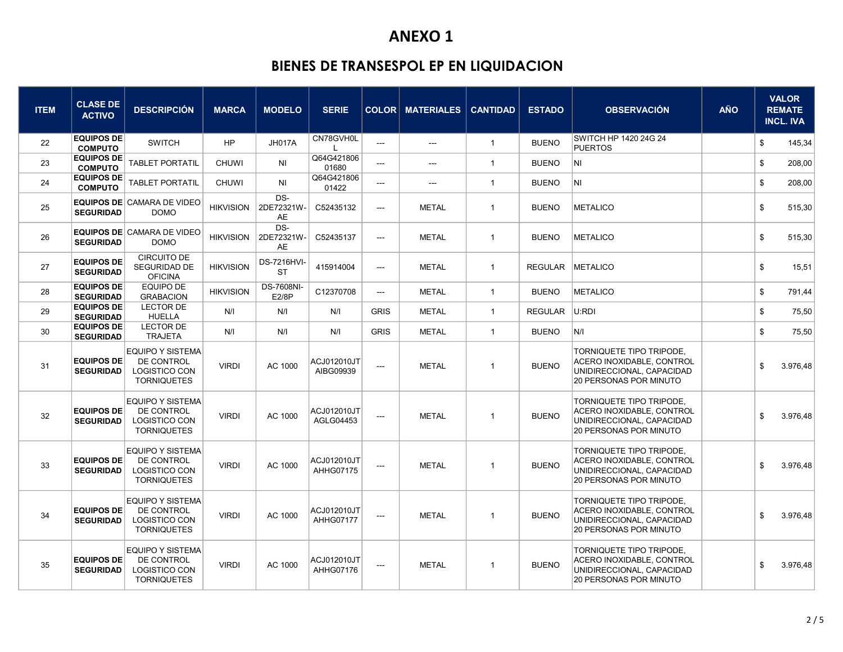| <b>ITEM</b> | <b>CLASE DE</b><br><b>ACTIVO</b>      | <b>DESCRIPCIÓN</b>                                                                  | <b>MARCA</b>     | <b>MODELO</b>                   | <b>SERIE</b>              |                          | <b>COLOR MATERIALES</b>   | <b>CANTIDAD</b> | <b>ESTADO</b>    | <b>OBSERVACIÓN</b>                                                                                           | <b>AÑO</b> |                           | <b>VALOR</b><br><b>REMATE</b><br><b>INCL. IVA</b> |
|-------------|---------------------------------------|-------------------------------------------------------------------------------------|------------------|---------------------------------|---------------------------|--------------------------|---------------------------|-----------------|------------------|--------------------------------------------------------------------------------------------------------------|------------|---------------------------|---------------------------------------------------|
| 22          | <b>EQUIPOS DE</b><br><b>COMPUTO</b>   | <b>SWITCH</b>                                                                       | <b>HP</b>        | <b>JH017A</b>                   | CN78GVH0L<br>$\mathbf{L}$ | ---                      | ---                       | $\overline{1}$  | <b>BUENO</b>     | SWITCH HP 1420 24G 24<br><b>PUERTOS</b>                                                                      |            | \$                        | 145,34                                            |
| 23          | <b>EQUIPOS DE</b><br><b>COMPUTO</b>   | <b>TABLET PORTATIL</b>                                                              | <b>CHUWI</b>     | N <sub>l</sub>                  | Q64G421806<br>01680       | ---                      | ---                       | $\overline{1}$  | <b>BUENO</b>     | INI.                                                                                                         |            | \$                        | 208,00                                            |
| 24          | <b>EQUIPOS DE</b><br><b>COMPUTO</b>   | <b>TABLET PORTATIL</b>                                                              | <b>CHUWI</b>     | N <sub>l</sub>                  | Q64G421806<br>01422       | $\overline{a}$           | $\qquad \qquad -\qquad -$ | $\mathbf{1}$    | <b>BUENO</b>     | $\vert N \vert$                                                                                              |            | \$                        | 208,00                                            |
| 25          | <b>SEGURIDAD</b>                      | <b>EQUIPOS DE CAMARA DE VIDEO</b><br><b>DOMO</b>                                    | <b>HIKVISION</b> | DS-<br>2DE72321W-<br><b>AE</b>  | C52435132                 | ---                      | <b>METAL</b>              | $\mathbf{1}$    | <b>BUENO</b>     | METALICO                                                                                                     |            | \$                        | 515,30                                            |
| 26          | <b>SEGURIDAD</b>                      | <b>EQUIPOS DE CAMARA DE VIDEO</b><br><b>DOMO</b>                                    | <b>HIKVISION</b> | DS-<br>2DE72321W-<br><b>AE</b>  | C52435137                 | ---                      | <b>METAL</b>              | $\mathbf{1}$    | <b>BUENO</b>     | METALICO                                                                                                     |            | \$                        | 515,30                                            |
| 27          | <b>EQUIPOS DE</b><br><b>SEGURIDAD</b> | <b>CIRCUITO DE</b><br>SEGURIDAD DE<br><b>OFICINA</b>                                | <b>HIKVISION</b> | <b>DS-7216HVI-</b><br><b>ST</b> | 415914004                 | ---                      | <b>METAL</b>              | $\mathbf{1}$    | REGULAR METALICO |                                                                                                              |            | $\boldsymbol{\mathsf{s}}$ | 15,51                                             |
| 28          | <b>EQUIPOS DE</b><br><b>SEGURIDAD</b> | <b>EQUIPO DE</b><br><b>GRABACION</b>                                                | <b>HIKVISION</b> | <b>DS-7608NI-</b><br>E2/8P      | C12370708                 | ---                      | <b>METAL</b>              | $\mathbf{1}$    | <b>BUENO</b>     | METALICO                                                                                                     |            | \$                        | 791,44                                            |
| 29          | <b>EQUIPOS DE</b><br><b>SEGURIDAD</b> | <b>LECTOR DE</b><br><b>HUELLA</b>                                                   | N/I              | N/I                             | N/I                       | <b>GRIS</b>              | <b>METAL</b>              | $\overline{1}$  | <b>REGULAR</b>   | U:RDI                                                                                                        |            | \$                        | 75,50                                             |
| 30          | <b>EQUIPOS DE</b><br><b>SEGURIDAD</b> | <b>LECTOR DE</b><br><b>TRAJETA</b>                                                  | N/I              | N/I                             | N/I                       | <b>GRIS</b>              | <b>METAL</b>              | $\mathbf{1}$    | <b>BUENO</b>     | N/I                                                                                                          |            | \$                        | 75,50                                             |
| 31          | <b>EQUIPOS DE</b><br><b>SEGURIDAD</b> | <b>EQUIPO Y SISTEMA</b><br>DE CONTROL<br>LOGISTICO CON<br><b>TORNIQUETES</b>        | <b>VIRDI</b>     | AC 1000                         | ACJ012010JT<br>AIBG09939  | ---                      | <b>METAL</b>              | $\mathbf{1}$    | <b>BUENO</b>     | TORNIQUETE TIPO TRIPODE,<br>ACERO INOXIDABLE, CONTROL<br>UNIDIRECCIONAL, CAPACIDAD<br>20 PERSONAS POR MINUTO |            | \$                        | 3.976,48                                          |
| 32          | <b>EQUIPOS DE</b><br><b>SEGURIDAD</b> | <b>EQUIPO Y SISTEMA</b><br>DE CONTROL<br><b>LOGISTICO CON</b><br><b>TORNIQUETES</b> | <b>VIRDI</b>     | AC 1000                         | ACJ012010JT<br>AGLG04453  | ---                      | <b>METAL</b>              | $\overline{1}$  | <b>BUENO</b>     | TORNIQUETE TIPO TRIPODE,<br>ACERO INOXIDABLE, CONTROL<br>UNIDIRECCIONAL, CAPACIDAD<br>20 PERSONAS POR MINUTO |            | \$                        | 3.976,48                                          |
| 33          | <b>EQUIPOS DE</b><br><b>SEGURIDAD</b> | <b>EQUIPO Y SISTEMA</b><br>DE CONTROL<br><b>LOGISTICO CON</b><br><b>TORNIQUETES</b> | <b>VIRDI</b>     | AC 1000                         | ACJ012010JT<br>AHHG07175  | ---                      | <b>METAL</b>              | $\mathbf{1}$    | <b>BUENO</b>     | TORNIQUETE TIPO TRIPODE,<br>ACERO INOXIDABLE, CONTROL<br>UNIDIRECCIONAL, CAPACIDAD<br>20 PERSONAS POR MINUTO |            | \$                        | 3.976,48                                          |
| 34          | <b>EQUIPOS DE</b><br><b>SEGURIDAD</b> | <b>EQUIPO Y SISTEMA</b><br>DE CONTROL<br><b>LOGISTICO CON</b><br><b>TORNIQUETES</b> | <b>VIRDI</b>     | AC 1000                         | ACJ012010JT<br>AHHG07177  | ---                      | <b>METAL</b>              | $\mathbf{1}$    | <b>BUENO</b>     | TORNIQUETE TIPO TRIPODE.<br>ACERO INOXIDABLE, CONTROL<br>UNIDIRECCIONAL, CAPACIDAD<br>20 PERSONAS POR MINUTO |            | \$                        | 3.976,48                                          |
| 35          | <b>EQUIPOS DE</b><br><b>SEGURIDAD</b> | <b>EQUIPO Y SISTEMA</b><br>DE CONTROL<br>LOGISTICO CON<br><b>TORNIQUETES</b>        | <b>VIRDI</b>     | AC 1000                         | ACJ012010JT<br>AHHG07176  | $\overline{\phantom{a}}$ | <b>METAL</b>              | $\overline{1}$  | <b>BUENO</b>     | TORNIQUETE TIPO TRIPODE.<br>ACERO INOXIDABLE, CONTROL<br>UNIDIRECCIONAL, CAPACIDAD<br>20 PERSONAS POR MINUTO |            | \$                        | 3.976,48                                          |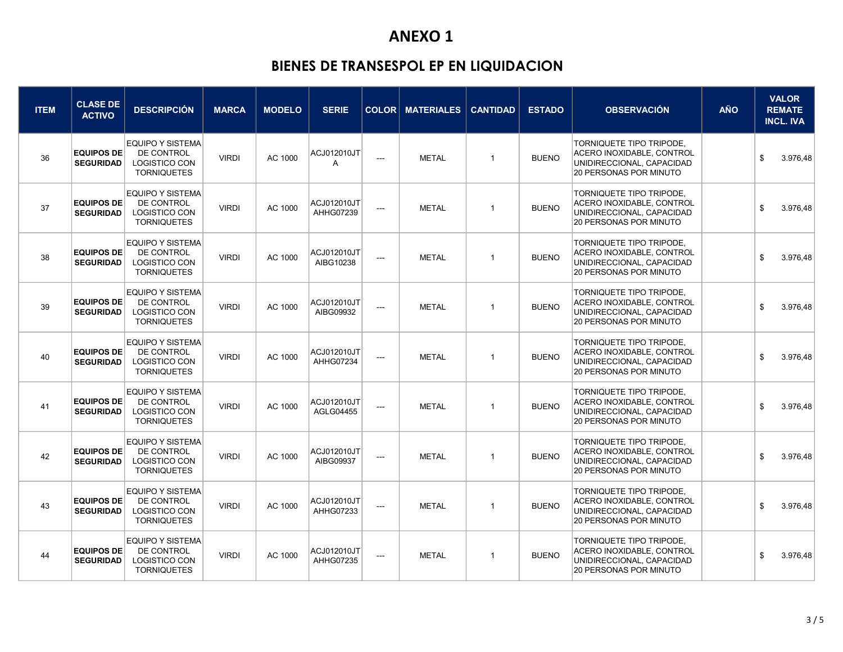| <b>ITEM</b> | <b>CLASE DE</b><br><b>ACTIVO</b>      | <b>DESCRIPCIÓN</b>                                                                  | <b>MARCA</b> | <b>MODELO</b> | <b>SERIE</b>                  |                          | <b>COLOR MATERIALES</b> | <b>CANTIDAD</b> | <b>ESTADO</b> | <b>OBSERVACIÓN</b>                                                                                                  | <b>AÑO</b> | <b>VALOR</b><br><b>REMATE</b><br><b>INCL. IVA</b> |
|-------------|---------------------------------------|-------------------------------------------------------------------------------------|--------------|---------------|-------------------------------|--------------------------|-------------------------|-----------------|---------------|---------------------------------------------------------------------------------------------------------------------|------------|---------------------------------------------------|
| 36          | <b>EQUIPOS DE</b><br><b>SEGURIDAD</b> | <b>EQUIPO Y SISTEMA</b><br>DE CONTROL<br>LOGISTICO CON<br><b>TORNIQUETES</b>        | <b>VIRDI</b> | AC 1000       | ACJ012010JT<br>$\overline{A}$ | ---                      | <b>METAL</b>            | $\mathbf{1}$    | <b>BUENO</b>  | TORNIQUETE TIPO TRIPODE.<br>ACERO INOXIDABLE, CONTROL<br>UNIDIRECCIONAL, CAPACIDAD<br>20 PERSONAS POR MINUTO        |            | \$<br>3.976,48                                    |
| 37          | <b>EQUIPOS DE</b><br><b>SEGURIDAD</b> | <b>EQUIPO Y SISTEMA</b><br>DE CONTROL<br>LOGISTICO CON<br><b>TORNIQUETES</b>        | <b>VIRDI</b> | AC 1000       | ACJ012010JT<br>AHHG07239      | $\sim$                   | <b>METAL</b>            | $\mathbf{1}$    | <b>BUENO</b>  | TORNIQUETE TIPO TRIPODE,<br>ACERO INOXIDABLE, CONTROL<br>UNIDIRECCIONAL, CAPACIDAD<br>20 PERSONAS POR MINUTO        |            | 3.976,48<br>\$                                    |
| 38          | <b>EQUIPOS DE</b><br><b>SEGURIDAD</b> | <b>EQUIPO Y SISTEMA</b><br>DE CONTROL<br><b>LOGISTICO CON</b><br><b>TORNIQUETES</b> | <b>VIRDI</b> | AC 1000       | ACJ012010JT<br>AIBG10238      | ---                      | <b>METAL</b>            | $\mathbf{1}$    | <b>BUENO</b>  | TORNIQUETE TIPO TRIPODE.<br>ACERO INOXIDABLE, CONTROL<br>UNIDIRECCIONAL, CAPACIDAD<br>20 PERSONAS POR MINUTO        |            | \$<br>3.976,48                                    |
| 39          | <b>EQUIPOS DE</b><br><b>SEGURIDAD</b> | <b>EQUIPO Y SISTEMA</b><br>DE CONTROL<br>LOGISTICO CON<br><b>TORNIQUETES</b>        | <b>VIRDI</b> | AC 1000       | ACJ012010JT<br>AIBG09932      | $\sim$ $\sim$            | <b>METAL</b>            | $\mathbf{1}$    | <b>BUENO</b>  | TORNIQUETE TIPO TRIPODE,<br>ACERO INOXIDABLE, CONTROL<br>UNIDIRECCIONAL, CAPACIDAD<br>20 PERSONAS POR MINUTO        |            | 3.976.48<br>\$                                    |
| 40          | <b>EQUIPOS DE</b><br><b>SEGURIDAD</b> | <b>EQUIPO Y SISTEMA</b><br>DE CONTROL<br><b>LOGISTICO CON</b><br><b>TORNIQUETES</b> | <b>VIRDI</b> | AC 1000       | ACJ012010JT<br>AHHG07234      | $\overline{\phantom{a}}$ | <b>METAL</b>            | $\mathbf{1}$    | <b>BUENO</b>  | TORNIQUETE TIPO TRIPODE,<br>ACERO INOXIDABLE, CONTROL<br>UNIDIRECCIONAL, CAPACIDAD<br>20 PERSONAS POR MINUTO        |            | \$<br>3.976,48                                    |
| 41          | <b>EQUIPOS DE</b><br><b>SEGURIDAD</b> | <b>EQUIPO Y SISTEMA</b><br>DE CONTROL<br>LOGISTICO CON<br><b>TORNIQUETES</b>        | <b>VIRDI</b> | AC 1000       | ACJ012010JT<br>AGLG04455      | $\overline{\phantom{a}}$ | <b>METAL</b>            | $\mathbf{1}$    | <b>BUENO</b>  | TORNIQUETE TIPO TRIPODE.<br>ACERO INOXIDABLE, CONTROL<br>UNIDIRECCIONAL, CAPACIDAD<br>20 PERSONAS POR MINUTO        |            | \$<br>3.976,48                                    |
| 42          | <b>EQUIPOS DE</b><br><b>SEGURIDAD</b> | <b>EQUIPO Y SISTEMA</b><br>DE CONTROL<br>LOGISTICO CON<br><b>TORNIQUETES</b>        | <b>VIRDI</b> | AC 1000       | ACJ012010JT<br>AIBG09937      | $\sim$                   | <b>METAL</b>            | $\mathbf{1}$    | <b>BUENO</b>  | TORNIQUETE TIPO TRIPODE.<br>ACERO INOXIDABLE, CONTROL<br>UNIDIRECCIONAL, CAPACIDAD<br>20 PERSONAS POR MINUTO        |            | \$<br>3.976,48                                    |
| 43          | <b>EQUIPOS DE</b><br><b>SEGURIDAD</b> | <b>EQUIPO Y SISTEMA</b><br>DE CONTROL<br>LOGISTICO CON<br><b>TORNIQUETES</b>        | <b>VIRDI</b> | AC 1000       | ACJ012010JT<br>AHHG07233      | $\sim$                   | <b>METAL</b>            | $\mathbf{1}$    | <b>BUENO</b>  | TORNIQUETE TIPO TRIPODE.<br>ACERO INOXIDABLE, CONTROL<br>UNIDIRECCIONAL, CAPACIDAD<br><b>20 PERSONAS POR MINUTO</b> |            | 3.976,48<br>\$                                    |
| 44          | <b>EQUIPOS DE</b><br><b>SEGURIDAD</b> | <b>EQUIPO Y SISTEMA</b><br>DE CONTROL<br>LOGISTICO CON<br><b>TORNIQUETES</b>        | <b>VIRDI</b> | AC 1000       | ACJ012010JT<br>AHHG07235      | ---                      | <b>METAL</b>            | $\mathbf{1}$    | <b>BUENO</b>  | TORNIQUETE TIPO TRIPODE.<br>ACERO INOXIDABLE, CONTROL<br>UNIDIRECCIONAL, CAPACIDAD<br>20 PERSONAS POR MINUTO        |            | \$<br>3.976,48                                    |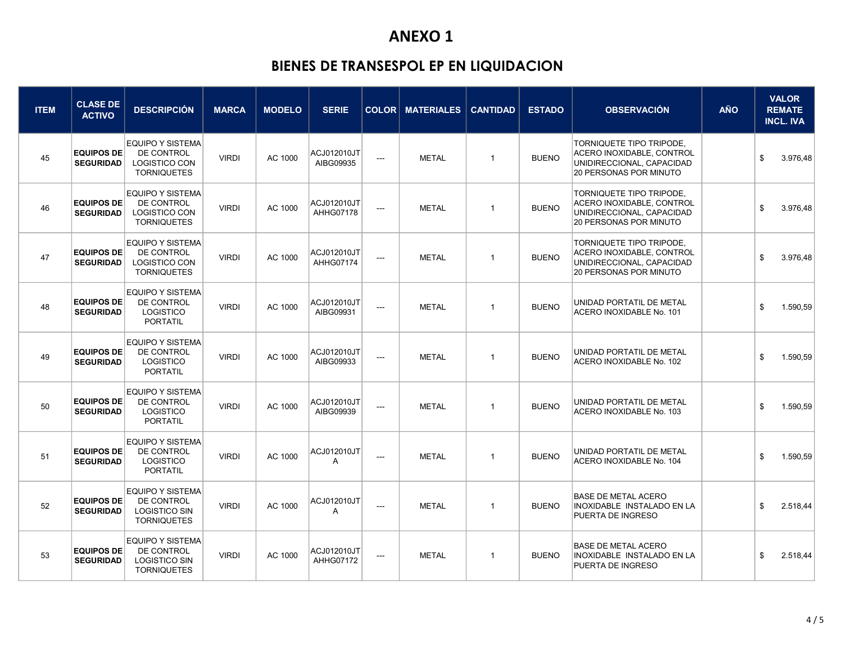| <b>ITEM</b> | <b>CLASE DE</b><br><b>ACTIVO</b>      | <b>DESCRIPCIÓN</b>                                                                  | <b>MARCA</b> | <b>MODELO</b> | <b>SERIE</b>                  |                          | <b>COLOR MATERIALES</b> | <b>CANTIDAD</b> | <b>ESTADO</b> | <b>OBSERVACIÓN</b>                                                                                                  | AÑO | <b>VALOR</b><br><b>REMATE</b><br><b>INCL. IVA</b> |
|-------------|---------------------------------------|-------------------------------------------------------------------------------------|--------------|---------------|-------------------------------|--------------------------|-------------------------|-----------------|---------------|---------------------------------------------------------------------------------------------------------------------|-----|---------------------------------------------------|
| 45          | <b>EQUIPOS DE</b><br><b>SEGURIDAD</b> | <b>EQUIPO Y SISTEMA</b><br>DE CONTROL<br>LOGISTICO CON<br><b>TORNIQUETES</b>        | <b>VIRDI</b> | AC 1000       | ACJ012010JT<br>AIBG09935      | $\overline{\phantom{a}}$ | <b>METAL</b>            | -1              | <b>BUENO</b>  | TORNIQUETE TIPO TRIPODE.<br>ACERO INOXIDABLE, CONTROL<br>UNIDIRECCIONAL, CAPACIDAD<br>20 PERSONAS POR MINUTO        |     | \$<br>3.976,48                                    |
| 46          | <b>EQUIPOS DE</b><br><b>SEGURIDAD</b> | <b>EQUIPO Y SISTEMA</b><br>DE CONTROL<br><b>LOGISTICO CON</b><br><b>TORNIQUETES</b> | <b>VIRDI</b> | AC 1000       | ACJ012010JT<br>AHHG07178      | $\overline{\phantom{a}}$ | <b>METAL</b>            | $\mathbf{1}$    | <b>BUENO</b>  | TORNIQUETE TIPO TRIPODE,<br>ACERO INOXIDABLE, CONTROL<br>UNIDIRECCIONAL, CAPACIDAD<br><b>20 PERSONAS POR MINUTO</b> |     | 3.976,48<br>\$                                    |
| 47          | <b>EQUIPOS DE</b><br><b>SEGURIDAD</b> | <b>EQUIPO Y SISTEMA</b><br>DE CONTROL<br>LOGISTICO CON<br><b>TORNIQUETES</b>        | <b>VIRDI</b> | AC 1000       | ACJ012010JT<br>AHHG07174      | $\overline{\phantom{a}}$ | <b>METAL</b>            | $\mathbf{1}$    | <b>BUENO</b>  | TORNIQUETE TIPO TRIPODE,<br>ACERO INOXIDABLE, CONTROL<br>UNIDIRECCIONAL, CAPACIDAD<br><b>20 PERSONAS POR MINUTO</b> |     | \$<br>3.976,48                                    |
| 48          | <b>EQUIPOS DE</b><br><b>SEGURIDAD</b> | <b>EQUIPO Y SISTEMA</b><br>DE CONTROL<br>LOGISTICO<br><b>PORTATIL</b>               | <b>VIRDI</b> | AC 1000       | ACJ012010JT<br>AIBG09931      | $\hspace{0.05cm} \ldots$ | <b>METAL</b>            | $\mathbf{1}$    | <b>BUENO</b>  | UNIDAD PORTATIL DE METAL<br>ACERO INOXIDABLE No. 101                                                                |     | \$<br>1.590,59                                    |
| 49          | <b>EQUIPOS DE</b><br><b>SEGURIDAD</b> | <b>EQUIPO Y SISTEMA</b><br>DE CONTROL<br>LOGISTICO<br>PORTATIL                      | <b>VIRDI</b> | AC 1000       | ACJ012010JT<br>AIBG09933      | $\overline{\phantom{a}}$ | <b>METAL</b>            | $\mathbf{1}$    | <b>BUENO</b>  | UNIDAD PORTATIL DE METAL<br>ACERO INOXIDABLE No. 102                                                                |     | \$<br>1.590,59                                    |
| 50          | <b>EQUIPOS DE</b><br><b>SEGURIDAD</b> | <b>EQUIPO Y SISTEMA</b><br>DE CONTROL<br>LOGISTICO<br><b>PORTATIL</b>               | <b>VIRDI</b> | AC 1000       | ACJ012010JT<br>AIBG09939      | $---$                    | <b>METAL</b>            | $\mathbf{1}$    | <b>BUENO</b>  | UNIDAD PORTATIL DE METAL<br>ACERO INOXIDABLE No. 103                                                                |     | 1.590,59<br>\$                                    |
| 51          | <b>EQUIPOS DE</b><br><b>SEGURIDAD</b> | <b>EQUIPO Y SISTEMA</b><br>DE CONTROL<br>LOGISTICO<br>PORTATIL                      | <b>VIRDI</b> | AC 1000       | ACJ012010JT<br>$\overline{A}$ | ---                      | <b>METAL</b>            | $\mathbf{1}$    | <b>BUENO</b>  | UNIDAD PORTATIL DE METAL<br>ACERO INOXIDABLE No. 104                                                                |     | \$<br>1.590,59                                    |
| 52          | <b>EQUIPOS DE</b><br><b>SEGURIDAD</b> | <b>EQUIPO Y SISTEMA</b><br>DE CONTROL<br><b>LOGISTICO SIN</b><br><b>TORNIQUETES</b> | <b>VIRDI</b> | AC 1000       | ACJ012010JT<br>$\overline{A}$ | $\hspace{0.05cm} \ldots$ | <b>METAL</b>            | $\mathbf{1}$    | <b>BUENO</b>  | <b>BASE DE METAL ACERO</b><br><b>INOXIDABLE INSTALADO EN LA</b><br>PUERTA DE INGRESO                                |     | 2.518.44<br>\$                                    |
| 53          | <b>EQUIPOS DE</b><br><b>SEGURIDAD</b> | <b>EQUIPO Y SISTEMA</b><br>DE CONTROL<br><b>LOGISTICO SIN</b><br><b>TORNIQUETES</b> | <b>VIRDI</b> | AC 1000       | ACJ012010JT<br>AHHG07172      | $---$                    | <b>METAL</b>            | $\mathbf{1}$    | <b>BUENO</b>  | <b>BASE DE METAL ACERO</b><br><b>INOXIDABLE INSTALADO EN LA</b><br>PUERTA DE INGRESO                                |     | \$<br>2.518,44                                    |